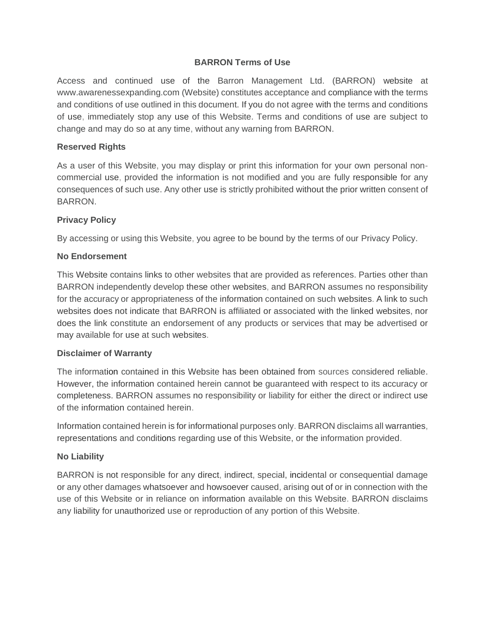## **BARRON Terms of Use**

Access and continued use of the Barron Management Ltd. (BARRON) website at www.awarenessexpanding.com (Website) constitutes acceptance and compliance with the terms and conditions of use outlined in this document. If you do not agree with the terms and conditions of use, immediately stop any use of this Website. Terms and conditions of use are subject to change and may do so at any time, without any warning from BARRON.

### **Reserved Rights**

As a user of this Website, you may display or print this information for your own personal noncommercial use, provided the information is not modified and you are fully responsible for any consequences of such use. Any other use is strictly prohibited without the prior written consent of BARRON.

## **Privacy Policy**

By accessing or using this Website, you agree to be bound by the terms of our Privacy Policy.

### **No Endorsement**

This Website contains links to other websites that are provided as references. Parties other than BARRON independently develop these other websites, and BARRON assumes no responsibility for the accuracy or appropriateness of the information contained on such websites. A link to such websites does not indicate that BARRON is affiliated or associated with the linked websites, nor does the link constitute an endorsement of any products or services that may be advertised or may available for use at such websites.

### **Disclaimer of Warranty**

The information contained in this Website has been obtained from sources considered reliable. However, the information contained herein cannot be guaranteed with respect to its accuracy or completeness. BARRON assumes no responsibility or liability for either the direct or indirect use of the information contained herein.

Information contained herein is for informational purposes only. BARRON disclaims all warranties, representations and conditions regarding use of this Website, or the information provided.

### **No Liability**

BARRON is not responsible for any direct, indirect, special, incidental or consequential damage or any other damages whatsoever and howsoever caused, arising out of or in connection with the use of this Website or in reliance on information available on this Website. BARRON disclaims any liability for unauthorized use or reproduction of any portion of this Website.